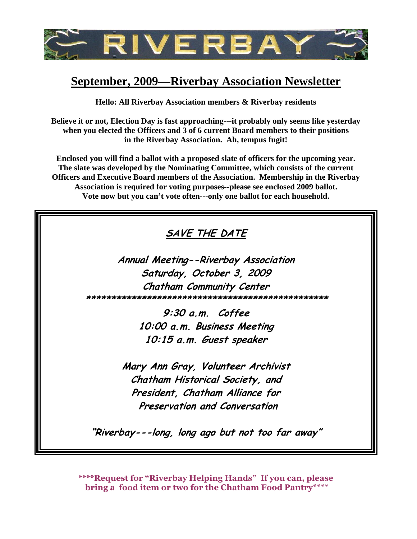

## **September, 2009—Riverbay Association Newsletter**

**Hello: All Riverbay Association members & Riverbay residents** 

**Believe it or not, Election Day is fast approaching---it probably only seems like yesterday when you elected the Officers and 3 of 6 current Board members to their positions in the Riverbay Association. Ah, tempus fugit!** 

**Enclosed you will find a ballot with a proposed slate of officers for the upcoming year. The slate was developed by the Nominating Committee, which consists of the current Officers and Executive Board members of the Association. Membership in the Riverbay Association is required for voting purposes--please see enclosed 2009 ballot. Vote now but you can't vote often---only one ballot for each household.** 

## SAVE THE DATE

Annual Meeting--Riverbay Association Saturday, October 3, 2009 Chatham Community Center \*\*\*\*\*\*\*\*\*\*\*\*\*\*\*\*\*\*\*\*\*\*\*\*\*\*\*\*\*\*\*\*\*\*\*\*\*\*\*\*\*\*\*\*\*\*\*\*

> 9:30 a.m. Coffee 10:00 a.m. Business Meeting 10:15 a.m. Guest speaker

Mary Ann Gray, Volunteer Archivist Chatham Historical Society, and President, Chatham Alliance for Preservation and Conversation

"Riverbay---long, long ago but not too far away"

\*\*\*\*Request for "Riverbay Helping Hands" If you can, please bring a food item or two for the Chatham Food Pantry\*\*\*\*